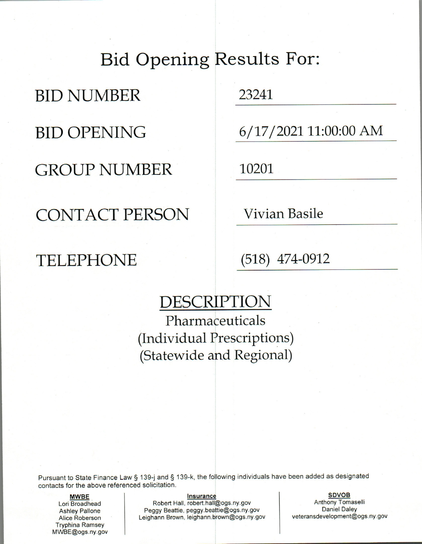# **Bid Opening Results For:**

**BID NUMBER** 

**BID OPENING** 

**GROUP NUMBER** 

**CONTACT PERSON** 

**TELEPHONE** 

23241

 $6/17/2021$  11:00:00 AM

10201

**Vivian Basile** 

 $(518)$  474-0912

# DESCRIPTION

Pharmaceuticals (Individual Prescriptions) (Statewide and Regional)

Pursuant to State Finance Law § 139-j and § 139-k, the following individuals have been added as designated contacts for the above referenced solicitation.

**MWBE** Lori Broadhead **Ashley Pallone** Alice Roberson **Tryphina Ramsey** MWBE@ogs.ny.gov

#### **Insurance**

Robert Hall, robert.hall@ogs.ny.gov Peggy Beattie, peggy.beattie@ogs.ny.gov Leighann Brown, leighann.brown@ogs.ny.gov

**SDVOB** Anthony Tomaselli **Daniel Daley** veteransdevelopment@ogs.ny.gov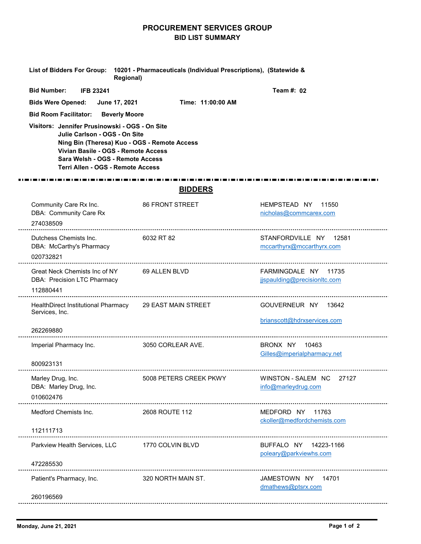## PROCUREMENT SERVICES GROUP BID LIST SUMMARY

|                                                                                                                                                                                                                                                                                                                                                           | <b>BID LIST SUMMARY</b>                                          |                                                      |
|-----------------------------------------------------------------------------------------------------------------------------------------------------------------------------------------------------------------------------------------------------------------------------------------------------------------------------------------------------------|------------------------------------------------------------------|------------------------------------------------------|
| <b>List of Bidders For Group:</b><br><b>Regional)</b>                                                                                                                                                                                                                                                                                                     | 10201 - Pharmaceuticals (Individual Prescriptions), (Statewide & |                                                      |
| <b>Bid Number:</b><br><b>IFB 23241</b><br><b>Bids Were Opened:</b><br>June 17, 2021<br><b>Bid Room Facilitator:</b><br><b>Beverly Moore</b><br>Visitors: Jennifer Prusinowski - OGS - On Site<br>Julie Carlson - OGS - On Site<br>Ning Bin (Theresa) Kuo - OGS - Remote Access<br>Vivian Basile - OGS - Remote Access<br>Sara Welsh - OGS - Remote Access | Time: 11:00:00 AM                                                | Team #: 02                                           |
| Terri Allen - OGS - Remote Access                                                                                                                                                                                                                                                                                                                         | <b>BIDDERS</b>                                                   |                                                      |
| Community Care Rx Inc.<br>DBA: Community Care Rx<br>274038509                                                                                                                                                                                                                                                                                             | 86 FRONT STREET                                                  | HEMPSTEAD NY 11550<br>nicholas@commcarex.com         |
| Dutchess Chemists Inc.<br>DBA: McCarthy's Pharmacy<br>020732821                                                                                                                                                                                                                                                                                           | 6032 RT 82                                                       | STANFORDVILLE NY 12581<br>mccarthyrx@mccarthyrx.com  |
| Great Neck Chemists Inc of NY<br>DBA: Precision LTC Pharmacy<br>112880441                                                                                                                                                                                                                                                                                 | 69 ALLEN BLVD                                                    | FARMINGDALE NY 11735<br>jjspaulding@precisionltc.com |
| HealthDirect Institutional Pharmacy<br>Services, Inc.                                                                                                                                                                                                                                                                                                     | <b>29 EAST MAIN STREET</b>                                       | GOUVERNEUR NY 13642<br>brianscott@hdrxservices.com   |
| 262269880                                                                                                                                                                                                                                                                                                                                                 |                                                                  |                                                      |
| Imperial Pharmacy Inc.                                                                                                                                                                                                                                                                                                                                    | 3050 CORLEAR AVE.                                                | BRONX NY 10463<br>Gilles@imperialpharmacy.net        |
|                                                                                                                                                                                                                                                                                                                                                           |                                                                  |                                                      |
| 800923131<br>Marley Drug, Inc.<br>DBA: Marley Drug, Inc.<br>010602476                                                                                                                                                                                                                                                                                     | 5008 PETERS CREEK PKWY                                           | WINSTON - SALEM NC 27127<br>info@marleydrug.com      |
| Medford Chemists Inc.                                                                                                                                                                                                                                                                                                                                     | 2608 ROUTE 112                                                   | MEDFORD NY 11763<br>ckoller@medfordchemists.com      |
| 112111713                                                                                                                                                                                                                                                                                                                                                 |                                                                  |                                                      |
| Parkview Health Services, LLC                                                                                                                                                                                                                                                                                                                             | 1770 COLVIN BLVD                                                 | BUFFALO NY 14223-1166<br>poleary@parkviewhs.com      |
| 472285530<br>Patient's Pharmacy, Inc.                                                                                                                                                                                                                                                                                                                     | 320 NORTH MAIN ST.                                               | JAMESTOWN NY 14701                                   |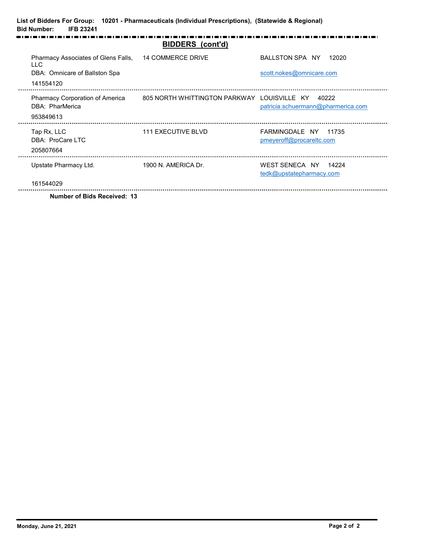| <b>Bid Number:</b><br><b>IFB 23241</b>             | List of Bidders For Group: 10201 - Pharmaceuticals (Individual Prescriptions), (Statewide & Regional) |                                                  |
|----------------------------------------------------|-------------------------------------------------------------------------------------------------------|--------------------------------------------------|
|                                                    | <b>BIDDERS</b> (cont'd)                                                                               |                                                  |
| Pharmacy Associates of Glens Falls,<br><b>LLC</b>  | <b>14 COMMERCE DRIVE</b>                                                                              | BALLSTON SPA NY 12020                            |
| DBA: Omnicare of Ballston Spa<br>141554120         |                                                                                                       | scott.nokes@omnicare.com                         |
|                                                    |                                                                                                       |                                                  |
| Pharmacy Corporation of America<br>DBA: PharMerica | 805 NORTH WHITTINGTON PARKWAY LOUISVILLE KY 40222                                                     | patricia.schuermann@pharmerica.com               |
| 953849613<br>-------                               |                                                                                                       |                                                  |
| Tap Rx, LLC<br>DBA: ProCare LTC                    | 111 EXECUTIVE BLVD                                                                                    | FARMINGDALE NY 11735<br>pmeyeroff@procareltc.com |
| 205807664<br>Upstate Pharmacy Ltd.                 | 1900 N. AMERICA Dr.                                                                                   | WEST SENECA NY 14224                             |
| 161544029                                          |                                                                                                       | tedk@upstatepharmacy.com                         |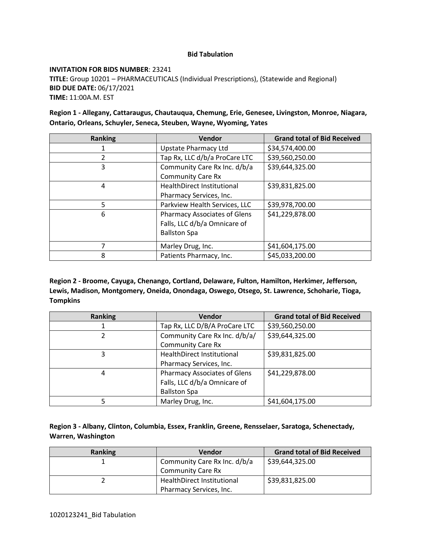#### **Bid Tabulation**

#### **INVITATION FOR BIDS NUMBER**: 23241

**TITLE:** Group 10201 – PHARMACEUTICALS (Individual Prescriptions), (Statewide and Regional) **BID DUE DATE:** 06/17/2021 **TIME:** 11:00A.M. EST

**Region 1 - Allegany, Cattaraugus, Chautauqua, Chemung, Erie, Genesee, Livingston, Monroe, Niagara, Ontario, Orleans, Schuyler, Seneca, Steuben, Wayne, Wyoming, Yates**

| <b>Ranking</b> | Vendor                              | <b>Grand total of Bid Received</b> |
|----------------|-------------------------------------|------------------------------------|
|                | <b>Upstate Pharmacy Ltd</b>         | \$34,574,400.00                    |
| 2              | Tap Rx, LLC d/b/a ProCare LTC       | \$39,560,250.00                    |
| 3              | Community Care Rx Inc. d/b/a        | \$39,644,325.00                    |
|                | <b>Community Care Rx</b>            |                                    |
| 4              | <b>HealthDirect Institutional</b>   | \$39,831,825.00                    |
|                | Pharmacy Services, Inc.             |                                    |
| 5              | Parkview Health Services, LLC       | \$39,978,700.00                    |
| 6              | <b>Pharmacy Associates of Glens</b> | \$41,229,878.00                    |
|                | Falls, LLC d/b/a Omnicare of        |                                    |
|                | <b>Ballston Spa</b>                 |                                    |
| 7              | Marley Drug, Inc.                   | \$41,604,175.00                    |
| 8              | Patients Pharmacy, Inc.             | \$45,033,200.00                    |

**Region 2 - Broome, Cayuga, Chenango, Cortland, Delaware, Fulton, Hamilton, Herkimer, Jefferson, Lewis, Madison, Montgomery, Oneida, Onondaga, Oswego, Otsego, St. Lawrence, Schoharie, Tioga, Tompkins**

| <b>Ranking</b> | Vendor                                                                                     | <b>Grand total of Bid Received</b> |
|----------------|--------------------------------------------------------------------------------------------|------------------------------------|
|                | Tap Rx, LLC D/B/A ProCare LTC                                                              | \$39,560,250.00                    |
| 2              | Community Care Rx Inc. d/b/a/<br><b>Community Care Rx</b>                                  | \$39,644,325.00                    |
| 3              | <b>HealthDirect Institutional</b><br>Pharmacy Services, Inc.                               | \$39,831,825.00                    |
| 4              | <b>Pharmacy Associates of Glens</b><br>Falls, LLC d/b/a Omnicare of<br><b>Ballston Spa</b> | \$41,229,878.00                    |
| 5              | Marley Drug, Inc.                                                                          | \$41,604,175.00                    |

| Region 3 - Albany, Clinton, Columbia, Essex, Franklin, Greene, Rensselaer, Saratoga, Schenectady, |  |  |  |
|---------------------------------------------------------------------------------------------------|--|--|--|
| Warren, Washington                                                                                |  |  |  |

| Ranking | <b>Vendor</b>                | <b>Grand total of Bid Received</b> |
|---------|------------------------------|------------------------------------|
|         | Community Care Rx Inc. d/b/a | \$39,644,325.00                    |
|         | <b>Community Care Rx</b>     |                                    |
|         | HealthDirect Institutional   | \$39,831,825.00                    |
|         | Pharmacy Services, Inc.      |                                    |